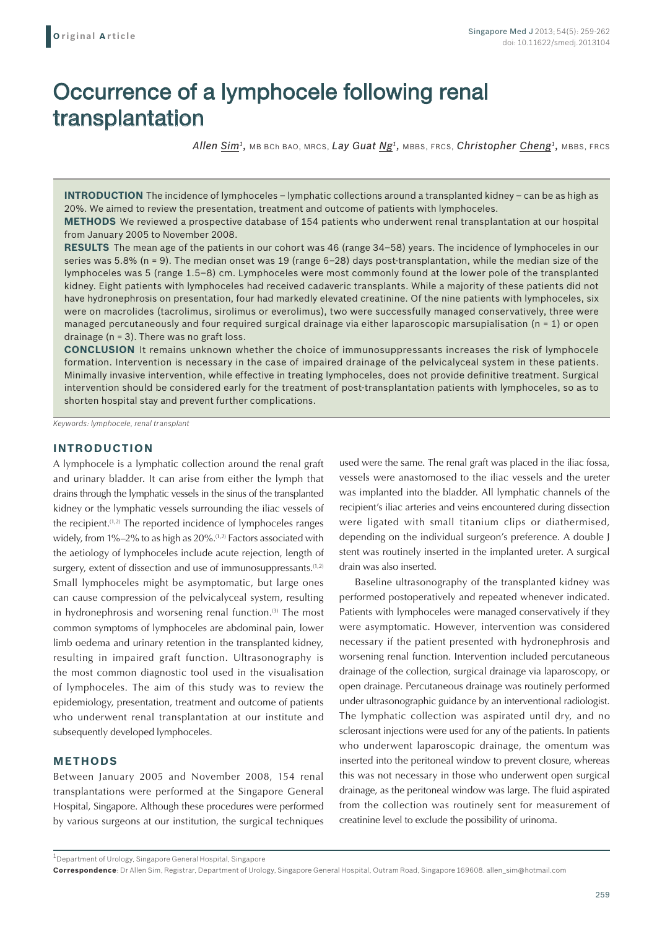# Occurrence of a lymphocele following renal transplantation

*Allen Sim1,* MB BCh BAO, MRCS, *Lay Guat Ng1,* MBBS, FRCS, *Christopher Cheng1,* MBBS, FRCS

**INTRODUCTION** The incidence of lymphoceles – lymphatic collections around a transplanted kidney – can be as high as 20%. We aimed to review the presentation, treatment and outcome of patients with lymphoceles.

**METHODS** We reviewed a prospective database of 154 patients who underwent renal transplantation at our hospital from January 2005 to November 2008.

**RESULTS** The mean age of the patients in our cohort was 46 (range 34–58) years. The incidence of lymphoceles in our series was 5.8% (n = 9). The median onset was 19 (range 6–28) days post-transplantation, while the median size of the lymphoceles was 5 (range 1.5–8) cm. Lymphoceles were most commonly found at the lower pole of the transplanted kidney. Eight patients with lymphoceles had received cadaveric transplants. While a majority of these patients did not have hydronephrosis on presentation, four had markedly elevated creatinine. Of the nine patients with lymphoceles, six were on macrolides (tacrolimus, sirolimus or everolimus), two were successfully managed conservatively, three were managed percutaneously and four required surgical drainage via either laparoscopic marsupialisation (n = 1) or open drainage (n = 3). There was no graft loss.

**CONCLUSION** It remains unknown whether the choice of immunosuppressants increases the risk of lymphocele formation. Intervention is necessary in the case of impaired drainage of the pelvicalyceal system in these patients. Minimally invasive intervention, while effective in treating lymphoceles, does not provide definitive treatment. Surgical intervention should be considered early for the treatment of post-transplantation patients with lymphoceles, so as to shorten hospital stay and prevent further complications.

*Keywords: lymphocele, renal transplant*

#### **INTRODUCTION**

A lymphocele is a lymphatic collection around the renal graft and urinary bladder. It can arise from either the lymph that drains through the lymphatic vessels in the sinus of the transplanted kidney or the lymphatic vessels surrounding the iliac vessels of the recipient.<sup>(1,2)</sup> The reported incidence of lymphoceles ranges widely, from  $1\% - 2\%$  to as high as  $20\%$ .<sup> $(1,2)$ </sup> Factors associated with the aetiology of lymphoceles include acute rejection, length of surgery, extent of dissection and use of immunosuppressants.<sup>(1,2)</sup> Small lymphoceles might be asymptomatic, but large ones can cause compression of the pelvicalyceal system, resulting in hydronephrosis and worsening renal function.<sup>(3)</sup> The most common symptoms of lymphoceles are abdominal pain, lower limb oedema and urinary retention in the transplanted kidney, resulting in impaired graft function. Ultrasonography is the most common diagnostic tool used in the visualisation of lymphoceles. The aim of this study was to review the epidemiology, presentation, treatment and outcome of patients who underwent renal transplantation at our institute and subsequently developed lymphoceles.

## **METHODS**

Between January 2005 and November 2008, 154 renal transplantations were performed at the Singapore General Hospital, Singapore. Although these procedures were performed by various surgeons at our institution, the surgical techniques used were the same. The renal graft was placed in the iliac fossa, vessels were anastomosed to the iliac vessels and the ureter was implanted into the bladder. All lymphatic channels of the recipient's iliac arteries and veins encountered during dissection were ligated with small titanium clips or diathermised, depending on the individual surgeon's preference. A double J stent was routinely inserted in the implanted ureter. A surgical drain was also inserted.

Baseline ultrasonography of the transplanted kidney was performed postoperatively and repeated whenever indicated. Patients with lymphoceles were managed conservatively if they were asymptomatic. However, intervention was considered necessary if the patient presented with hydronephrosis and worsening renal function. Intervention included percutaneous drainage of the collection, surgical drainage via laparoscopy, or open drainage. Percutaneous drainage was routinely performed under ultrasonographic guidance by an interventional radiologist. The lymphatic collection was aspirated until dry, and no sclerosant injections were used for any of the patients. In patients who underwent laparoscopic drainage, the omentum was inserted into the peritoneal window to prevent closure, whereas this was not necessary in those who underwent open surgical drainage, as the peritoneal window was large. The fluid aspirated from the collection was routinely sent for measurement of creatinine level to exclude the possibility of urinoma.

<sup>1</sup>Department of Urology, Singapore General Hospital, Singapore

**Correspondence**: Dr Allen Sim, Registrar, Department of Urology, Singapore General Hospital, Outram Road, Singapore 169608. allen\_sim@hotmail.com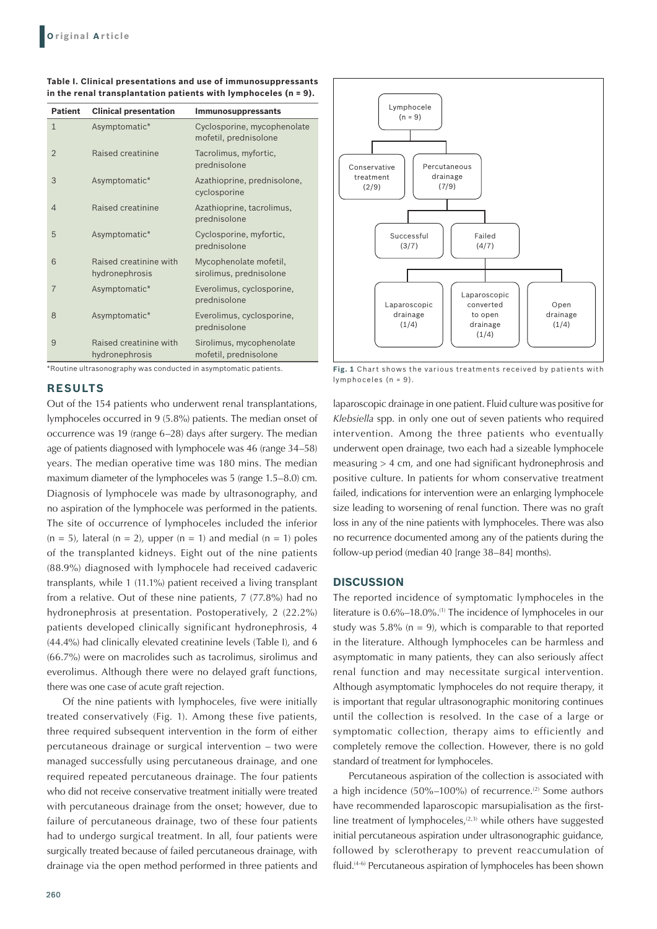| <b>Patient</b> | <b>Clinical presentation</b>             | Immunosuppressants                                   |
|----------------|------------------------------------------|------------------------------------------------------|
| $\mathbf{1}$   | Asymptomatic*                            | Cyclosporine, mycophenolate<br>mofetil, prednisolone |
| $\overline{2}$ | Raised creatinine                        | Tacrolimus, myfortic,<br>prednisolone                |
| 3              | Asymptomatic*                            | Azathioprine, prednisolone,<br>cyclosporine          |
| 4              | Raised creatinine                        | Azathioprine, tacrolimus,<br>prednisolone            |
| 5              | Asymptomatic*                            | Cyclosporine, myfortic,<br>prednisolone              |
| 6              | Raised creatinine with<br>hydronephrosis | Mycophenolate mofetil,<br>sirolimus, prednisolone    |
| $\overline{7}$ | Asymptomatic*                            | Everolimus, cyclosporine,<br>prednisolone            |
| 8              | Asymptomatic*                            | Everolimus, cyclosporine,<br>prednisolone            |
| 9              | Raised creatinine with<br>hydronephrosis | Sirolimus, mycophenolate<br>mofetil, prednisolone    |

**Table I. Clinical presentations and use of immunosuppressants in the renal transplantation patients with lymphoceles (n = 9).**

\*Routine ultrasonography was conducted in asymptomatic patients.

## **RESULTS**

Out of the 154 patients who underwent renal transplantations, lymphoceles occurred in 9 (5.8%) patients. The median onset of occurrence was 19 (range 6–28) days after surgery. The median age of patients diagnosed with lymphocele was 46 (range 34–58) years. The median operative time was 180 mins. The median maximum diameter of the lymphoceles was 5 (range 1.5–8.0) cm. Diagnosis of lymphocele was made by ultrasonography, and no aspiration of the lymphocele was performed in the patients. The site of occurrence of lymphoceles included the inferior  $(n = 5)$ , lateral  $(n = 2)$ , upper  $(n = 1)$  and medial  $(n = 1)$  poles of the transplanted kidneys. Eight out of the nine patients (88.9%) diagnosed with lymphocele had received cadaveric transplants, while 1 (11.1%) patient received a living transplant from a relative. Out of these nine patients, 7 (77.8%) had no hydronephrosis at presentation. Postoperatively, 2 (22.2%) patients developed clinically significant hydronephrosis, 4 (44.4%) had clinically elevated creatinine levels (Table I), and 6 (66.7%) were on macrolides such as tacrolimus, sirolimus and everolimus. Although there were no delayed graft functions, there was one case of acute graft rejection.

Of the nine patients with lymphoceles, five were initially treated conservatively (Fig. 1). Among these five patients, three required subsequent intervention in the form of either percutaneous drainage or surgical intervention – two were managed successfully using percutaneous drainage, and one required repeated percutaneous drainage. The four patients who did not receive conservative treatment initially were treated with percutaneous drainage from the onset; however, due to failure of percutaneous drainage, two of these four patients had to undergo surgical treatment. In all, four patients were surgically treated because of failed percutaneous drainage, with drainage via the open method performed in three patients and



**Fig. 1** Chart shows the various treatments received by patients with lymphoceles (n = 9).

laparoscopic drainage in one patient. Fluid culture was positive for *Klebsiella* spp. in only one out of seven patients who required intervention. Among the three patients who eventually underwent open drainage, two each had a sizeable lymphocele measuring > 4 cm, and one had significant hydronephrosis and positive culture. In patients for whom conservative treatment failed, indications for intervention were an enlarging lymphocele size leading to worsening of renal function. There was no graft loss in any of the nine patients with lymphoceles. There was also no recurrence documented among any of the patients during the follow-up period (median 40 [range 38–84] months).

#### **DISCUSSION**

The reported incidence of symptomatic lymphoceles in the literature is 0.6%–18.0%.(1) The incidence of lymphoceles in our study was  $5.8\%$  (n = 9), which is comparable to that reported in the literature. Although lymphoceles can be harmless and asymptomatic in many patients, they can also seriously affect renal function and may necessitate surgical intervention. Although asymptomatic lymphoceles do not require therapy, it is important that regular ultrasonographic monitoring continues until the collection is resolved. In the case of a large or symptomatic collection, therapy aims to efficiently and completely remove the collection. However, there is no gold standard of treatment for lymphoceles.

Percutaneous aspiration of the collection is associated with a high incidence  $(50\%-100\%)$  of recurrence.<sup>(2)</sup> Some authors have recommended laparoscopic marsupialisation as the firstline treatment of lymphoceles, $(2,3)$  while others have suggested initial percutaneous aspiration under ultrasonographic guidance, followed by sclerotherapy to prevent reaccumulation of fluid.<sup>(4-6)</sup> Percutaneous aspiration of lymphoceles has been shown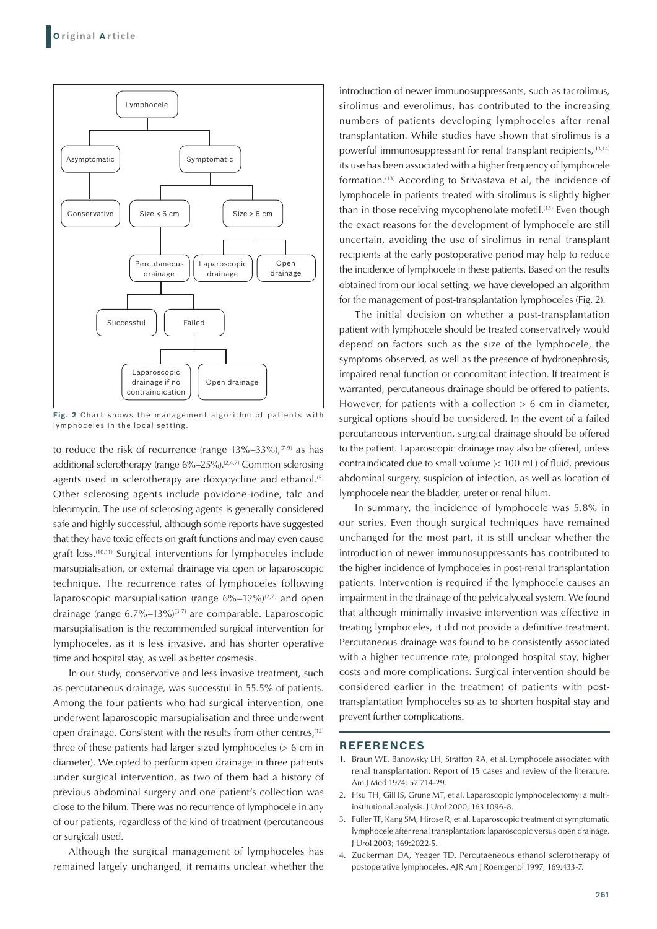

Fig. 2 Chart shows the management algorithm of patients with lymphoceles in the local setting.

to reduce the risk of recurrence (range  $13\% - 33\%$ ),  $(7-9)$  as has additional sclerotherapy (range  $6\% - 25\%$ ).<sup>(2,4,7)</sup> Common sclerosing agents used in sclerotherapy are doxycycline and ethanol.<sup>(5)</sup> Other sclerosing agents include povidone-iodine, talc and bleomycin. The use of sclerosing agents is generally considered safe and highly successful, although some reports have suggested that they have toxic effects on graft functions and may even cause graft loss.(10,11) Surgical interventions for lymphoceles include marsupialisation, or external drainage via open or laparoscopic technique. The recurrence rates of lymphoceles following laparoscopic marsupialisation (range  $6\% - 12\%$ )<sup>(2,7)</sup> and open drainage (range  $6.7\%$ –13%)<sup>(3,7)</sup> are comparable. Laparoscopic marsupialisation is the recommended surgical intervention for lymphoceles, as it is less invasive, and has shorter operative time and hospital stay, as well as better cosmesis.

In our study, conservative and less invasive treatment, such as percutaneous drainage, was successful in 55.5% of patients. Among the four patients who had surgical intervention, one underwent laparoscopic marsupialisation and three underwent open drainage. Consistent with the results from other centres,<sup>(12)</sup> three of these patients had larger sized lymphoceles (> 6 cm in diameter). We opted to perform open drainage in three patients under surgical intervention, as two of them had a history of previous abdominal surgery and one patient's collection was close to the hilum. There was no recurrence of lymphocele in any of our patients, regardless of the kind of treatment (percutaneous or surgical) used.

Although the surgical management of lymphoceles has remained largely unchanged, it remains unclear whether the

introduction of newer immunosuppressants, such as tacrolimus, sirolimus and everolimus, has contributed to the increasing numbers of patients developing lymphoceles after renal transplantation. While studies have shown that sirolimus is a powerful immunosuppressant for renal transplant recipients,<sup>(13,14)</sup> its use has been associated with a higher frequency of lymphocele formation.(13) According to Srivastava et al, the incidence of lymphocele in patients treated with sirolimus is slightly higher than in those receiving mycophenolate mofetil.<sup>(15)</sup> Even though the exact reasons for the development of lymphocele are still uncertain, avoiding the use of sirolimus in renal transplant recipients at the early postoperative period may help to reduce the incidence of lymphocele in these patients. Based on the results obtained from our local setting, we have developed an algorithm for the management of post-transplantation lymphoceles (Fig. 2).

The initial decision on whether a post-transplantation patient with lymphocele should be treated conservatively would depend on factors such as the size of the lymphocele, the symptoms observed, as well as the presence of hydronephrosis, impaired renal function or concomitant infection. If treatment is warranted, percutaneous drainage should be offered to patients. However, for patients with a collection  $> 6$  cm in diameter, surgical options should be considered. In the event of a failed percutaneous intervention, surgical drainage should be offered to the patient. Laparoscopic drainage may also be offered, unless contraindicated due to small volume (< 100 mL) of fluid, previous abdominal surgery, suspicion of infection, as well as location of lymphocele near the bladder, ureter or renal hilum.

In summary, the incidence of lymphocele was 5.8% in our series. Even though surgical techniques have remained unchanged for the most part, it is still unclear whether the introduction of newer immunosuppressants has contributed to the higher incidence of lymphoceles in post-renal transplantation patients. Intervention is required if the lymphocele causes an impairment in the drainage of the pelvicalyceal system. We found that although minimally invasive intervention was effective in treating lymphoceles, it did not provide a definitive treatment. Percutaneous drainage was found to be consistently associated with a higher recurrence rate, prolonged hospital stay, higher costs and more complications. Surgical intervention should be considered earlier in the treatment of patients with posttransplantation lymphoceles so as to shorten hospital stay and prevent further complications.

#### **REFERENCES**

- 1. Braun WE, Banowsky LH, Straffon RA, et al. Lymphocele associated with renal transplantation: Report of 15 cases and review of the literature. Am J Med 1974; 57:714-29.
- 2. Hsu TH, Gill IS, Grune MT, et al. Laparoscopic lymphocelectomy: a multiinstitutional analysis. J Urol 2000; 163:1096-8.
- 3. Fuller TF, Kang SM, Hirose R, et al. Laparoscopic treatment of symptomatic lymphocele after renal transplantation: laparoscopic versus open drainage. J Urol 2003; 169:2022-5.
- 4. Zuckerman DA, Yeager TD. Percutaeneous ethanol sclerotherapy of postoperative lymphoceles. AJR Am J Roentgenol 1997; 169:433-7.